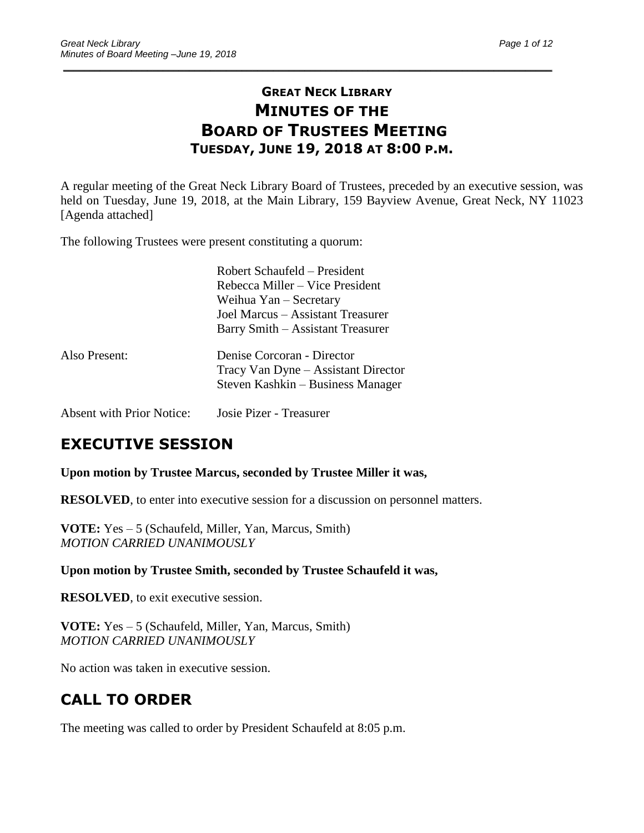# **GREAT NECK LIBRARY MINUTES OF THE BOARD OF TRUSTEES MEETING TUESDAY, JUNE 19, 2018 AT 8:00 P.M.**

\_\_\_\_\_\_\_\_\_\_\_\_\_\_\_\_\_\_\_\_\_\_\_\_\_\_\_\_\_\_\_\_\_\_\_\_\_\_\_\_\_\_\_\_\_\_\_\_\_\_\_\_\_\_\_\_\_\_\_\_\_\_\_\_\_\_\_\_\_\_\_\_\_\_\_\_\_\_\_\_\_\_\_\_\_\_\_\_\_\_\_\_\_

A regular meeting of the Great Neck Library Board of Trustees, preceded by an executive session, was held on Tuesday, June 19, 2018, at the Main Library, 159 Bayview Avenue, Great Neck, NY 11023 [Agenda attached]

The following Trustees were present constituting a quorum:

|               | Robert Schaufeld – President<br>Rebecca Miller – Vice President<br>Weihua Yan – Secretary<br>Joel Marcus – Assistant Treasurer<br>Barry Smith – Assistant Treasurer |
|---------------|---------------------------------------------------------------------------------------------------------------------------------------------------------------------|
| Also Present: | Denise Corcoran - Director<br>Tracy Van Dyne - Assistant Director<br>Steven Kashkin – Business Manager                                                              |

Absent with Prior Notice: Josie Pizer - Treasurer

# **EXECUTIVE SESSION**

**Upon motion by Trustee Marcus, seconded by Trustee Miller it was,**

**RESOLVED**, to enter into executive session for a discussion on personnel matters.

**VOTE:** Yes – 5 (Schaufeld, Miller, Yan, Marcus, Smith) *MOTION CARRIED UNANIMOUSLY*

**Upon motion by Trustee Smith, seconded by Trustee Schaufeld it was,**

**RESOLVED**, to exit executive session.

**VOTE:** Yes – 5 (Schaufeld, Miller, Yan, Marcus, Smith) *MOTION CARRIED UNANIMOUSLY*

No action was taken in executive session.

# **CALL TO ORDER**

The meeting was called to order by President Schaufeld at 8:05 p.m.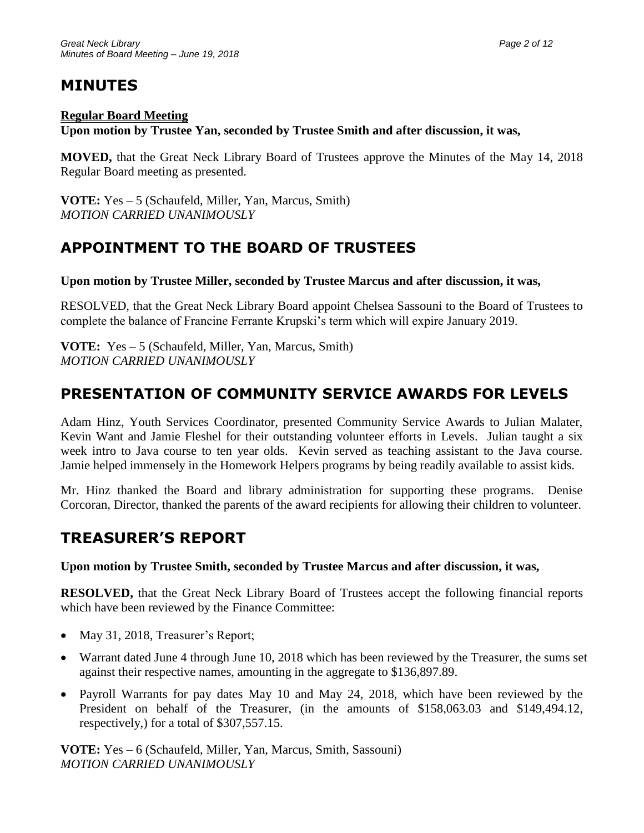# **MINUTES**

#### **Regular Board Meeting**

**Upon motion by Trustee Yan, seconded by Trustee Smith and after discussion, it was,**

**MOVED,** that the Great Neck Library Board of Trustees approve the Minutes of the May 14, 2018 Regular Board meeting as presented.

**VOTE:** Yes – 5 (Schaufeld, Miller, Yan, Marcus, Smith) *MOTION CARRIED UNANIMOUSLY*

# **APPOINTMENT TO THE BOARD OF TRUSTEES**

**Upon motion by Trustee Miller, seconded by Trustee Marcus and after discussion, it was,**

RESOLVED, that the Great Neck Library Board appoint Chelsea Sassouni to the Board of Trustees to complete the balance of Francine Ferrante Krupski's term which will expire January 2019.

**VOTE:** Yes – 5 (Schaufeld, Miller, Yan, Marcus, Smith) *MOTION CARRIED UNANIMOUSLY*

# **PRESENTATION OF COMMUNITY SERVICE AWARDS FOR LEVELS**

Adam Hinz, Youth Services Coordinator, presented Community Service Awards to Julian Malater, Kevin Want and Jamie Fleshel for their outstanding volunteer efforts in Levels. Julian taught a six week intro to Java course to ten year olds. Kevin served as teaching assistant to the Java course. Jamie helped immensely in the Homework Helpers programs by being readily available to assist kids.

Mr. Hinz thanked the Board and library administration for supporting these programs. Denise Corcoran, Director, thanked the parents of the award recipients for allowing their children to volunteer.

# **TREASURER'S REPORT**

#### **Upon motion by Trustee Smith, seconded by Trustee Marcus and after discussion, it was,**

**RESOLVED,** that the Great Neck Library Board of Trustees accept the following financial reports which have been reviewed by the Finance Committee:

- May 31, 2018, Treasurer's Report;
- Warrant dated June 4 through June 10, 2018 which has been reviewed by the Treasurer, the sums set against their respective names, amounting in the aggregate to \$136,897.89.
- Payroll Warrants for pay dates May 10 and May 24, 2018, which have been reviewed by the President on behalf of the Treasurer, (in the amounts of \$158,063.03 and \$149,494.12, respectively,) for a total of \$307,557.15.

**VOTE:** Yes – 6 (Schaufeld, Miller, Yan, Marcus, Smith, Sassouni) *MOTION CARRIED UNANIMOUSLY*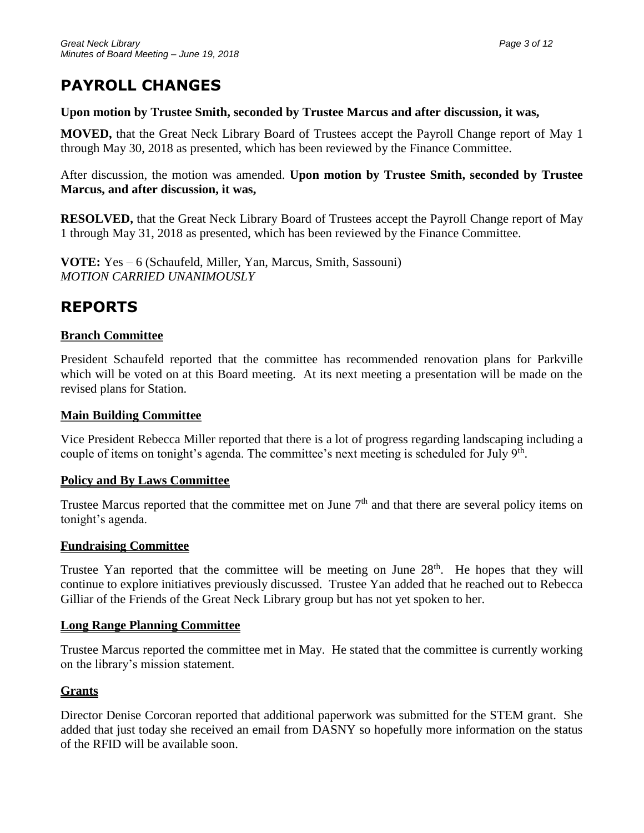# **PAYROLL CHANGES**

#### **Upon motion by Trustee Smith, seconded by Trustee Marcus and after discussion, it was,**

**MOVED,** that the Great Neck Library Board of Trustees accept the Payroll Change report of May 1 through May 30, 2018 as presented, which has been reviewed by the Finance Committee.

After discussion, the motion was amended. **Upon motion by Trustee Smith, seconded by Trustee Marcus, and after discussion, it was,**

**RESOLVED,** that the Great Neck Library Board of Trustees accept the Payroll Change report of May 1 through May 31, 2018 as presented, which has been reviewed by the Finance Committee.

**VOTE:** Yes – 6 (Schaufeld, Miller, Yan, Marcus, Smith, Sassouni) *MOTION CARRIED UNANIMOUSLY*

# **REPORTS**

### **Branch Committee**

President Schaufeld reported that the committee has recommended renovation plans for Parkville which will be voted on at this Board meeting. At its next meeting a presentation will be made on the revised plans for Station.

#### **Main Building Committee**

Vice President Rebecca Miller reported that there is a lot of progress regarding landscaping including a couple of items on tonight's agenda. The committee's next meeting is scheduled for July 9<sup>th</sup>.

### **Policy and By Laws Committee**

Trustee Marcus reported that the committee met on June  $7<sup>th</sup>$  and that there are several policy items on tonight's agenda.

### **Fundraising Committee**

Trustee Yan reported that the committee will be meeting on June  $28<sup>th</sup>$ . He hopes that they will continue to explore initiatives previously discussed. Trustee Yan added that he reached out to Rebecca Gilliar of the Friends of the Great Neck Library group but has not yet spoken to her.

#### **Long Range Planning Committee**

Trustee Marcus reported the committee met in May. He stated that the committee is currently working on the library's mission statement.

### **Grants**

Director Denise Corcoran reported that additional paperwork was submitted for the STEM grant. She added that just today she received an email from DASNY so hopefully more information on the status of the RFID will be available soon.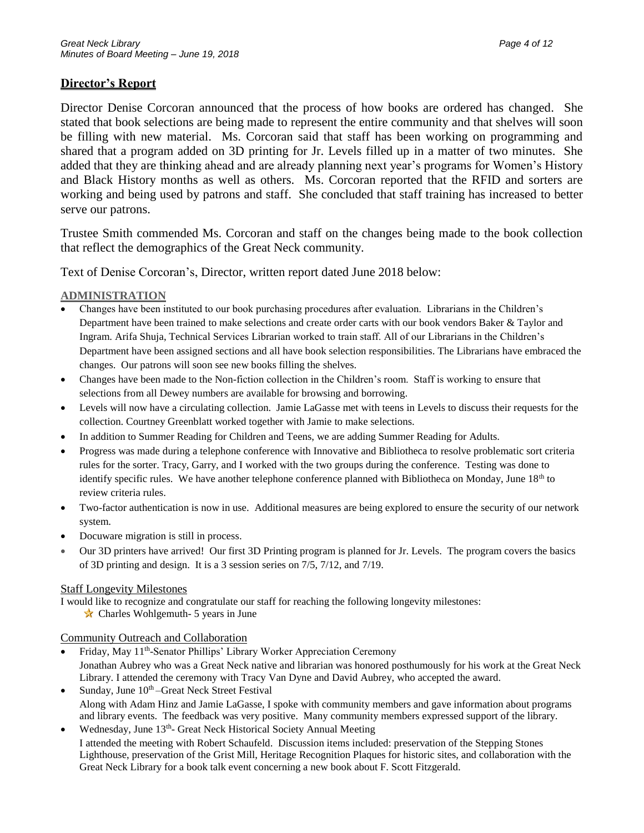#### **Director's Report**

Director Denise Corcoran announced that the process of how books are ordered has changed. She stated that book selections are being made to represent the entire community and that shelves will soon be filling with new material. Ms. Corcoran said that staff has been working on programming and shared that a program added on 3D printing for Jr. Levels filled up in a matter of two minutes. She added that they are thinking ahead and are already planning next year's programs for Women's History and Black History months as well as others. Ms. Corcoran reported that the RFID and sorters are working and being used by patrons and staff. She concluded that staff training has increased to better serve our patrons.

Trustee Smith commended Ms. Corcoran and staff on the changes being made to the book collection that reflect the demographics of the Great Neck community.

Text of Denise Corcoran's, Director, written report dated June 2018 below:

#### **ADMINISTRATION**

- Changes have been instituted to our book purchasing procedures after evaluation. Librarians in the Children's Department have been trained to make selections and create order carts with our book vendors Baker & Taylor and Ingram. Arifa Shuja, Technical Services Librarian worked to train staff. All of our Librarians in the Children's Department have been assigned sections and all have book selection responsibilities. The Librarians have embraced the changes. Our patrons will soon see new books filling the shelves.
- Changes have been made to the Non-fiction collection in the Children's room. Staff is working to ensure that selections from all Dewey numbers are available for browsing and borrowing.
- Levels will now have a circulating collection. Jamie LaGasse met with teens in Levels to discuss their requests for the collection. Courtney Greenblatt worked together with Jamie to make selections.
- In addition to Summer Reading for Children and Teens, we are adding Summer Reading for Adults.
- Progress was made during a telephone conference with Innovative and Bibliotheca to resolve problematic sort criteria rules for the sorter. Tracy, Garry, and I worked with the two groups during the conference. Testing was done to identify specific rules. We have another telephone conference planned with Bibliotheca on Monday, June 18<sup>th</sup> to review criteria rules.
- Two-factor authentication is now in use. Additional measures are being explored to ensure the security of our network system.
- Docuware migration is still in process.
- Our 3D printers have arrived! Our first 3D Printing program is planned for Jr. Levels. The program covers the basics of 3D printing and design. It is a 3 session series on 7/5, 7/12, and 7/19.

#### Staff Longevity Milestones

I would like to recognize and congratulate our staff for reaching the following longevity milestones:

 $\star$  Charles Wohlgemuth- 5 years in June

#### Community Outreach and Collaboration

- Friday, May 11<sup>th</sup>-Senator Phillips' Library Worker Appreciation Ceremony Jonathan Aubrey who was a Great Neck native and librarian was honored posthumously for his work at the Great Neck Library. I attended the ceremony with Tracy Van Dyne and David Aubrey, who accepted the award.
- Sunday, June  $10<sup>th</sup>$ -Great Neck Street Festival Along with Adam Hinz and Jamie LaGasse, I spoke with community members and gave information about programs and library events. The feedback was very positive. Many community members expressed support of the library.
- Wednesday, June 13<sup>th</sup>- Great Neck Historical Society Annual Meeting I attended the meeting with Robert Schaufeld. Discussion items included: preservation of the Stepping Stones Lighthouse, preservation of the Grist Mill, Heritage Recognition Plaques for historic sites, and collaboration with the Great Neck Library for a book talk event concerning a new book about F. Scott Fitzgerald.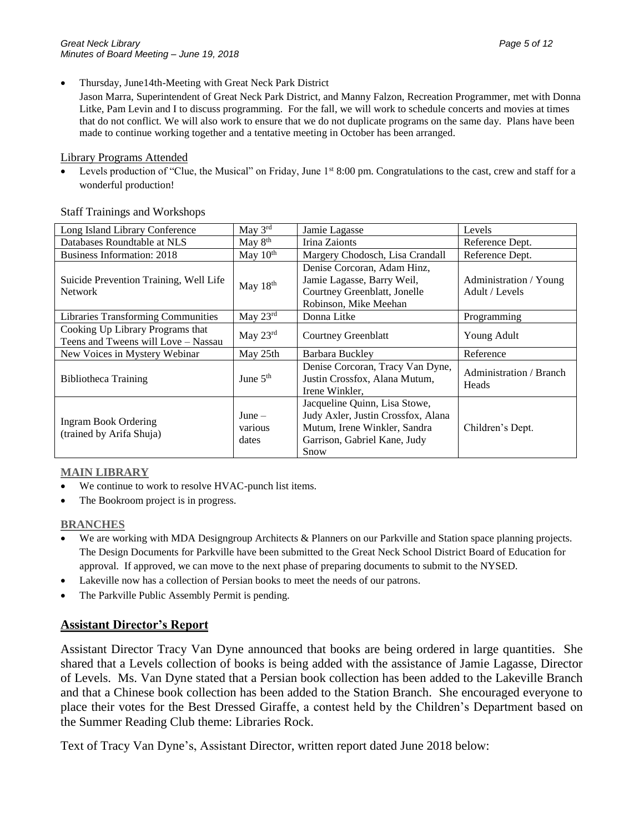• Thursday, June14th-Meeting with Great Neck Park District

Jason Marra, Superintendent of Great Neck Park District, and Manny Falzon, Recreation Programmer, met with Donna Litke, Pam Levin and I to discuss programming. For the fall, we will work to schedule concerts and movies at times that do not conflict. We will also work to ensure that we do not duplicate programs on the same day. Plans have been made to continue working together and a tentative meeting in October has been arranged.

#### Library Programs Attended

Levels production of "Clue, the Musical" on Friday, June 1st 8:00 pm. Congratulations to the cast, crew and staff for a wonderful production!

#### Staff Trainings and Workshops

| Long Island Library Conference                                          | May 3rd                      | Jamie Lagasse                                                                                                                               | Levels                                   |
|-------------------------------------------------------------------------|------------------------------|---------------------------------------------------------------------------------------------------------------------------------------------|------------------------------------------|
| Databases Roundtable at NLS                                             | May $8th$                    | Irina Zaionts                                                                                                                               | Reference Dept.                          |
| <b>Business Information: 2018</b>                                       | May $10^{th}$                | Margery Chodosch, Lisa Crandall                                                                                                             | Reference Dept.                          |
| Suicide Prevention Training, Well Life<br><b>Network</b>                | May 18th                     | Denise Corcoran, Adam Hinz,<br>Jamie Lagasse, Barry Weil,<br>Courtney Greenblatt, Jonelle<br>Robinson, Mike Meehan                          | Administration / Young<br>Adult / Levels |
| <b>Libraries Transforming Communities</b>                               | May $23^{\text{rd}}$         | Donna Litke                                                                                                                                 | Programming                              |
| Cooking Up Library Programs that<br>Teens and Tweens will Love - Nassau | May $23^{\text{rd}}$         | <b>Courtney Greenblatt</b>                                                                                                                  | Young Adult                              |
| New Voices in Mystery Webinar                                           | May 25th                     | Barbara Buckley                                                                                                                             | Reference                                |
| Bibliotheca Training                                                    | June $5th$                   | Denise Corcoran, Tracy Van Dyne,<br>Justin Crossfox, Alana Mutum,<br>Irene Winkler.                                                         | Administration / Branch<br>Heads         |
| <b>Ingram Book Ordering</b><br>(trained by Arifa Shuja)                 | $June -$<br>various<br>dates | Jacqueline Quinn, Lisa Stowe,<br>Judy Axler, Justin Crossfox, Alana<br>Mutum, Irene Winkler, Sandra<br>Garrison, Gabriel Kane, Judy<br>Snow | Children's Dept.                         |

#### **MAIN LIBRARY**

- We continue to work to resolve HVAC-punch list items.
- The Bookroom project is in progress.

#### **BRANCHES**

- We are working with MDA Designgroup Architects & Planners on our Parkville and Station space planning projects. The Design Documents for Parkville have been submitted to the Great Neck School District Board of Education for approval. If approved, we can move to the next phase of preparing documents to submit to the NYSED.
- Lakeville now has a collection of Persian books to meet the needs of our patrons.
- The Parkville Public Assembly Permit is pending.

#### **Assistant Director's Report**

Assistant Director Tracy Van Dyne announced that books are being ordered in large quantities. She shared that a Levels collection of books is being added with the assistance of Jamie Lagasse, Director of Levels. Ms. Van Dyne stated that a Persian book collection has been added to the Lakeville Branch and that a Chinese book collection has been added to the Station Branch. She encouraged everyone to place their votes for the Best Dressed Giraffe, a contest held by the Children's Department based on the Summer Reading Club theme: Libraries Rock.

Text of Tracy Van Dyne's, Assistant Director, written report dated June 2018 below: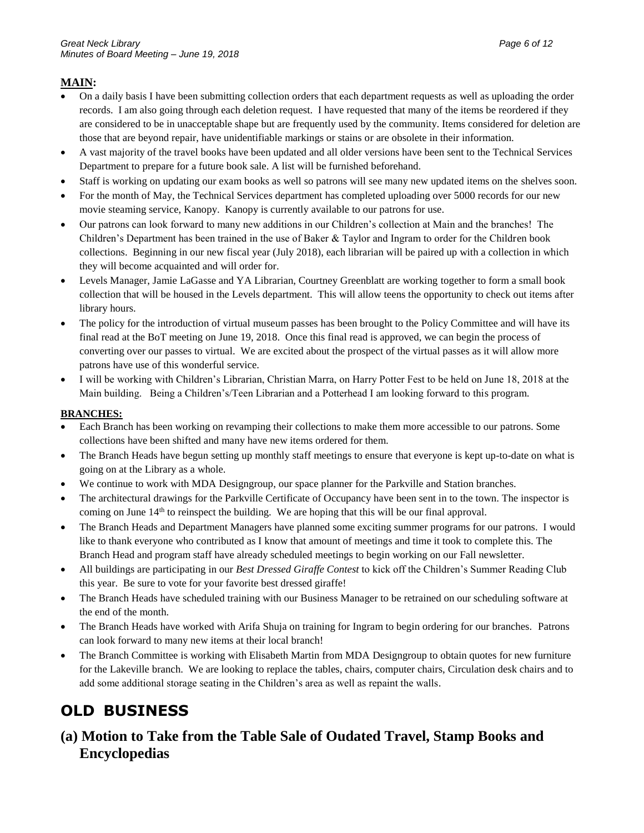#### **MAIN:**

- On a daily basis I have been submitting collection orders that each department requests as well as uploading the order records. I am also going through each deletion request. I have requested that many of the items be reordered if they are considered to be in unacceptable shape but are frequently used by the community. Items considered for deletion are those that are beyond repair, have unidentifiable markings or stains or are obsolete in their information.
- A vast majority of the travel books have been updated and all older versions have been sent to the Technical Services Department to prepare for a future book sale. A list will be furnished beforehand.
- Staff is working on updating our exam books as well so patrons will see many new updated items on the shelves soon.
- For the month of May, the Technical Services department has completed uploading over 5000 records for our new movie steaming service, Kanopy. Kanopy is currently available to our patrons for use.
- Our patrons can look forward to many new additions in our Children's collection at Main and the branches! The Children's Department has been trained in the use of Baker & Taylor and Ingram to order for the Children book collections. Beginning in our new fiscal year (July 2018), each librarian will be paired up with a collection in which they will become acquainted and will order for.
- Levels Manager, Jamie LaGasse and YA Librarian, Courtney Greenblatt are working together to form a small book collection that will be housed in the Levels department. This will allow teens the opportunity to check out items after library hours.
- The policy for the introduction of virtual museum passes has been brought to the Policy Committee and will have its final read at the BoT meeting on June 19, 2018. Once this final read is approved, we can begin the process of converting over our passes to virtual. We are excited about the prospect of the virtual passes as it will allow more patrons have use of this wonderful service.
- I will be working with Children's Librarian, Christian Marra, on Harry Potter Fest to be held on June 18, 2018 at the Main building. Being a Children's/Teen Librarian and a Potterhead I am looking forward to this program.

#### **BRANCHES:**

- Each Branch has been working on revamping their collections to make them more accessible to our patrons. Some collections have been shifted and many have new items ordered for them.
- The Branch Heads have begun setting up monthly staff meetings to ensure that everyone is kept up-to-date on what is going on at the Library as a whole.
- We continue to work with MDA Designgroup, our space planner for the Parkville and Station branches.
- The architectural drawings for the Parkville Certificate of Occupancy have been sent in to the town. The inspector is coming on June 14<sup>th</sup> to reinspect the building. We are hoping that this will be our final approval.
- The Branch Heads and Department Managers have planned some exciting summer programs for our patrons. I would like to thank everyone who contributed as I know that amount of meetings and time it took to complete this. The Branch Head and program staff have already scheduled meetings to begin working on our Fall newsletter.
- All buildings are participating in our *Best Dressed Giraffe Contest* to kick off the Children's Summer Reading Club this year. Be sure to vote for your favorite best dressed giraffe!
- The Branch Heads have scheduled training with our Business Manager to be retrained on our scheduling software at the end of the month.
- The Branch Heads have worked with Arifa Shuja on training for Ingram to begin ordering for our branches. Patrons can look forward to many new items at their local branch!
- The Branch Committee is working with Elisabeth Martin from MDA Designgroup to obtain quotes for new furniture for the Lakeville branch. We are looking to replace the tables, chairs, computer chairs, Circulation desk chairs and to add some additional storage seating in the Children's area as well as repaint the walls.

# **OLD BUSINESS**

# **(a) Motion to Take from the Table Sale of Oudated Travel, Stamp Books and Encyclopedias**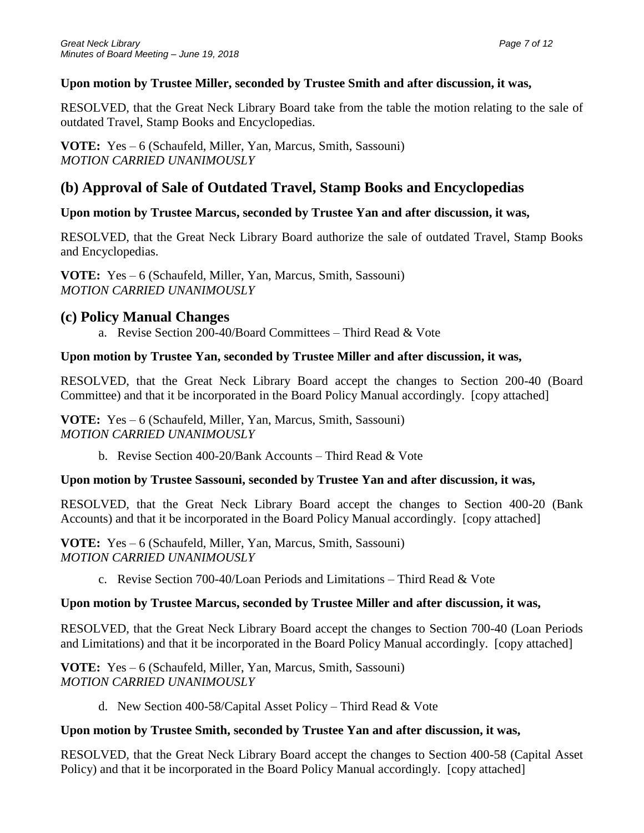### **Upon motion by Trustee Miller, seconded by Trustee Smith and after discussion, it was,**

RESOLVED, that the Great Neck Library Board take from the table the motion relating to the sale of outdated Travel, Stamp Books and Encyclopedias.

**VOTE:** Yes – 6 (Schaufeld, Miller, Yan, Marcus, Smith, Sassouni) *MOTION CARRIED UNANIMOUSLY*

# **(b) Approval of Sale of Outdated Travel, Stamp Books and Encyclopedias**

## **Upon motion by Trustee Marcus, seconded by Trustee Yan and after discussion, it was,**

RESOLVED, that the Great Neck Library Board authorize the sale of outdated Travel, Stamp Books and Encyclopedias.

**VOTE:** Yes – 6 (Schaufeld, Miller, Yan, Marcus, Smith, Sassouni) *MOTION CARRIED UNANIMOUSLY*

## **(c) Policy Manual Changes**

a. Revise Section 200-40/Board Committees – Third Read & Vote

## **Upon motion by Trustee Yan, seconded by Trustee Miller and after discussion, it was,**

RESOLVED, that the Great Neck Library Board accept the changes to Section 200-40 (Board Committee) and that it be incorporated in the Board Policy Manual accordingly. [copy attached]

**VOTE:** Yes – 6 (Schaufeld, Miller, Yan, Marcus, Smith, Sassouni) *MOTION CARRIED UNANIMOUSLY*

b. Revise Section 400-20/Bank Accounts – Third Read & Vote

## **Upon motion by Trustee Sassouni, seconded by Trustee Yan and after discussion, it was,**

RESOLVED, that the Great Neck Library Board accept the changes to Section 400-20 (Bank Accounts) and that it be incorporated in the Board Policy Manual accordingly. [copy attached]

**VOTE:** Yes – 6 (Schaufeld, Miller, Yan, Marcus, Smith, Sassouni) *MOTION CARRIED UNANIMOUSLY*

c. Revise Section 700-40/Loan Periods and Limitations – Third Read & Vote

## **Upon motion by Trustee Marcus, seconded by Trustee Miller and after discussion, it was,**

RESOLVED, that the Great Neck Library Board accept the changes to Section 700-40 (Loan Periods and Limitations) and that it be incorporated in the Board Policy Manual accordingly. [copy attached]

**VOTE:** Yes – 6 (Schaufeld, Miller, Yan, Marcus, Smith, Sassouni) *MOTION CARRIED UNANIMOUSLY*

d. New Section 400-58/Capital Asset Policy – Third Read & Vote

### **Upon motion by Trustee Smith, seconded by Trustee Yan and after discussion, it was,**

RESOLVED, that the Great Neck Library Board accept the changes to Section 400-58 (Capital Asset Policy) and that it be incorporated in the Board Policy Manual accordingly. [copy attached]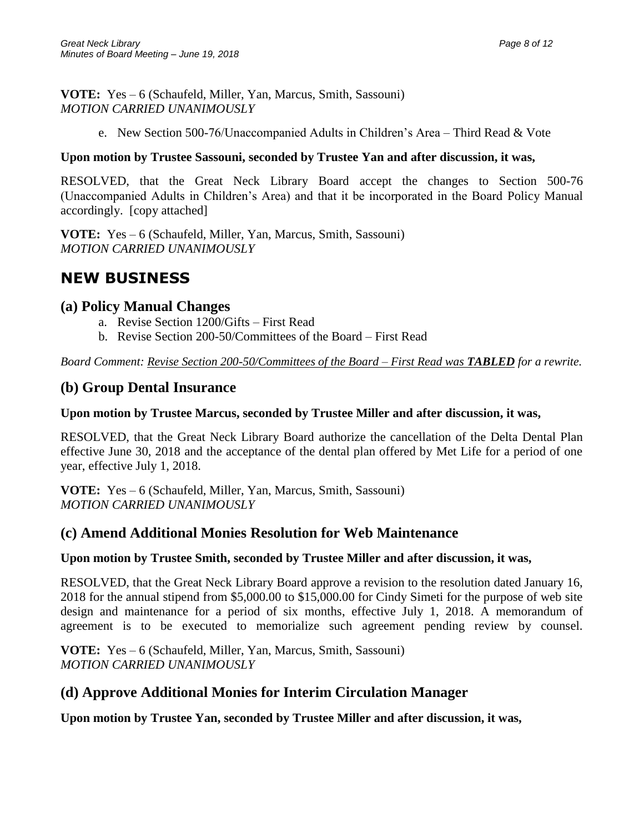**VOTE:** Yes – 6 (Schaufeld, Miller, Yan, Marcus, Smith, Sassouni) *MOTION CARRIED UNANIMOUSLY*

e. New Section 500-76/Unaccompanied Adults in Children's Area – Third Read & Vote

#### **Upon motion by Trustee Sassouni, seconded by Trustee Yan and after discussion, it was,**

RESOLVED, that the Great Neck Library Board accept the changes to Section 500-76 (Unaccompanied Adults in Children's Area) and that it be incorporated in the Board Policy Manual accordingly. [copy attached]

**VOTE:** Yes – 6 (Schaufeld, Miller, Yan, Marcus, Smith, Sassouni) *MOTION CARRIED UNANIMOUSLY*

# **NEW BUSINESS**

### **(a) Policy Manual Changes**

- a. Revise Section 1200/Gifts First Read
- b. Revise Section 200-50/Committees of the Board First Read

*Board Comment: Revise Section 200-50/Committees of the Board – First Read was TABLED for a rewrite.*

## **(b) Group Dental Insurance**

#### **Upon motion by Trustee Marcus, seconded by Trustee Miller and after discussion, it was,**

RESOLVED, that the Great Neck Library Board authorize the cancellation of the Delta Dental Plan effective June 30, 2018 and the acceptance of the dental plan offered by Met Life for a period of one year, effective July 1, 2018.

**VOTE:** Yes – 6 (Schaufeld, Miller, Yan, Marcus, Smith, Sassouni) *MOTION CARRIED UNANIMOUSLY*

## **(c) Amend Additional Monies Resolution for Web Maintenance**

#### **Upon motion by Trustee Smith, seconded by Trustee Miller and after discussion, it was,**

RESOLVED, that the Great Neck Library Board approve a revision to the resolution dated January 16, 2018 for the annual stipend from \$5,000.00 to \$15,000.00 for Cindy Simeti for the purpose of web site design and maintenance for a period of six months, effective July 1, 2018. A memorandum of agreement is to be executed to memorialize such agreement pending review by counsel.

**VOTE:** Yes – 6 (Schaufeld, Miller, Yan, Marcus, Smith, Sassouni) *MOTION CARRIED UNANIMOUSLY*

# **(d) Approve Additional Monies for Interim Circulation Manager**

**Upon motion by Trustee Yan, seconded by Trustee Miller and after discussion, it was,**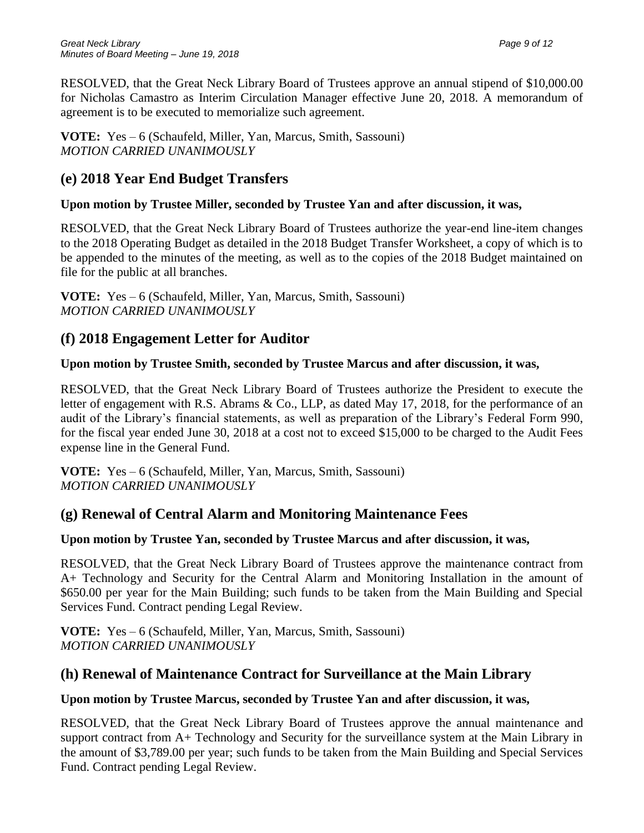RESOLVED, that the Great Neck Library Board of Trustees approve an annual stipend of \$10,000.00 for Nicholas Camastro as Interim Circulation Manager effective June 20, 2018. A memorandum of agreement is to be executed to memorialize such agreement.

**VOTE:** Yes – 6 (Schaufeld, Miller, Yan, Marcus, Smith, Sassouni) *MOTION CARRIED UNANIMOUSLY*

# **(e) 2018 Year End Budget Transfers**

## **Upon motion by Trustee Miller, seconded by Trustee Yan and after discussion, it was,**

RESOLVED, that the Great Neck Library Board of Trustees authorize the year-end line-item changes to the 2018 Operating Budget as detailed in the 2018 Budget Transfer Worksheet, a copy of which is to be appended to the minutes of the meeting, as well as to the copies of the 2018 Budget maintained on file for the public at all branches.

**VOTE:** Yes – 6 (Schaufeld, Miller, Yan, Marcus, Smith, Sassouni) *MOTION CARRIED UNANIMOUSLY*

# **(f) 2018 Engagement Letter for Auditor**

### **Upon motion by Trustee Smith, seconded by Trustee Marcus and after discussion, it was,**

RESOLVED, that the Great Neck Library Board of Trustees authorize the President to execute the letter of engagement with R.S. Abrams & Co., LLP, as dated May 17, 2018, for the performance of an audit of the Library's financial statements, as well as preparation of the Library's Federal Form 990, for the fiscal year ended June 30, 2018 at a cost not to exceed \$15,000 to be charged to the Audit Fees expense line in the General Fund.

**VOTE:** Yes – 6 (Schaufeld, Miller, Yan, Marcus, Smith, Sassouni) *MOTION CARRIED UNANIMOUSLY*

# **(g) Renewal of Central Alarm and Monitoring Maintenance Fees**

## **Upon motion by Trustee Yan, seconded by Trustee Marcus and after discussion, it was,**

RESOLVED, that the Great Neck Library Board of Trustees approve the maintenance contract from A+ Technology and Security for the Central Alarm and Monitoring Installation in the amount of \$650.00 per year for the Main Building; such funds to be taken from the Main Building and Special Services Fund. Contract pending Legal Review.

**VOTE:** Yes – 6 (Schaufeld, Miller, Yan, Marcus, Smith, Sassouni) *MOTION CARRIED UNANIMOUSLY*

# **(h) Renewal of Maintenance Contract for Surveillance at the Main Library**

## **Upon motion by Trustee Marcus, seconded by Trustee Yan and after discussion, it was,**

RESOLVED, that the Great Neck Library Board of Trustees approve the annual maintenance and support contract from A+ Technology and Security for the surveillance system at the Main Library in the amount of \$3,789.00 per year; such funds to be taken from the Main Building and Special Services Fund. Contract pending Legal Review.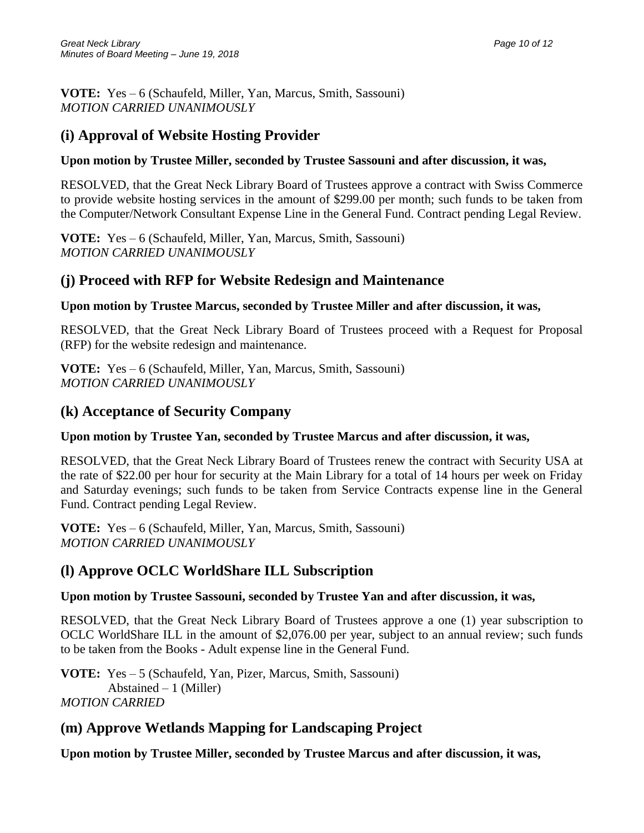**VOTE:** Yes – 6 (Schaufeld, Miller, Yan, Marcus, Smith, Sassouni) *MOTION CARRIED UNANIMOUSLY*

# **(i) Approval of Website Hosting Provider**

### **Upon motion by Trustee Miller, seconded by Trustee Sassouni and after discussion, it was,**

RESOLVED, that the Great Neck Library Board of Trustees approve a contract with Swiss Commerce to provide website hosting services in the amount of \$299.00 per month; such funds to be taken from the Computer/Network Consultant Expense Line in the General Fund. Contract pending Legal Review.

**VOTE:** Yes – 6 (Schaufeld, Miller, Yan, Marcus, Smith, Sassouni) *MOTION CARRIED UNANIMOUSLY*

## **(j) Proceed with RFP for Website Redesign and Maintenance**

### **Upon motion by Trustee Marcus, seconded by Trustee Miller and after discussion, it was,**

RESOLVED, that the Great Neck Library Board of Trustees proceed with a Request for Proposal (RFP) for the website redesign and maintenance.

**VOTE:** Yes – 6 (Schaufeld, Miller, Yan, Marcus, Smith, Sassouni) *MOTION CARRIED UNANIMOUSLY*

## **(k) Acceptance of Security Company**

### **Upon motion by Trustee Yan, seconded by Trustee Marcus and after discussion, it was,**

RESOLVED, that the Great Neck Library Board of Trustees renew the contract with Security USA at the rate of \$22.00 per hour for security at the Main Library for a total of 14 hours per week on Friday and Saturday evenings; such funds to be taken from Service Contracts expense line in the General Fund. Contract pending Legal Review.

**VOTE:** Yes – 6 (Schaufeld, Miller, Yan, Marcus, Smith, Sassouni) *MOTION CARRIED UNANIMOUSLY*

# **(l) Approve OCLC WorldShare ILL Subscription**

### **Upon motion by Trustee Sassouni, seconded by Trustee Yan and after discussion, it was,**

RESOLVED, that the Great Neck Library Board of Trustees approve a one (1) year subscription to OCLC WorldShare ILL in the amount of \$2,076.00 per year, subject to an annual review; such funds to be taken from the Books - Adult expense line in the General Fund.

**VOTE:** Yes – 5 (Schaufeld, Yan, Pizer, Marcus, Smith, Sassouni) Abstained – 1 (Miller) *MOTION CARRIED* 

# **(m) Approve Wetlands Mapping for Landscaping Project**

**Upon motion by Trustee Miller, seconded by Trustee Marcus and after discussion, it was,**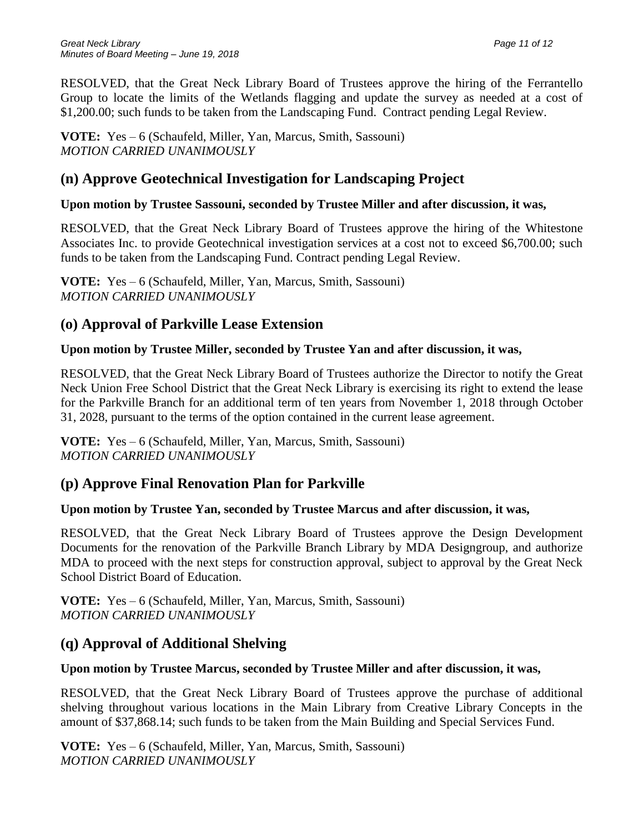RESOLVED, that the Great Neck Library Board of Trustees approve the hiring of the Ferrantello Group to locate the limits of the Wetlands flagging and update the survey as needed at a cost of \$1,200.00; such funds to be taken from the Landscaping Fund. Contract pending Legal Review.

**VOTE:** Yes – 6 (Schaufeld, Miller, Yan, Marcus, Smith, Sassouni) *MOTION CARRIED UNANIMOUSLY*

# **(n) Approve Geotechnical Investigation for Landscaping Project**

## **Upon motion by Trustee Sassouni, seconded by Trustee Miller and after discussion, it was,**

RESOLVED, that the Great Neck Library Board of Trustees approve the hiring of the Whitestone Associates Inc. to provide Geotechnical investigation services at a cost not to exceed \$6,700.00; such funds to be taken from the Landscaping Fund. Contract pending Legal Review.

**VOTE:** Yes – 6 (Schaufeld, Miller, Yan, Marcus, Smith, Sassouni) *MOTION CARRIED UNANIMOUSLY*

# **(o) Approval of Parkville Lease Extension**

## **Upon motion by Trustee Miller, seconded by Trustee Yan and after discussion, it was,**

RESOLVED, that the Great Neck Library Board of Trustees authorize the Director to notify the Great Neck Union Free School District that the Great Neck Library is exercising its right to extend the lease for the Parkville Branch for an additional term of ten years from November 1, 2018 through October 31, 2028, pursuant to the terms of the option contained in the current lease agreement.

**VOTE:** Yes – 6 (Schaufeld, Miller, Yan, Marcus, Smith, Sassouni) *MOTION CARRIED UNANIMOUSLY*

# **(p) Approve Final Renovation Plan for Parkville**

## **Upon motion by Trustee Yan, seconded by Trustee Marcus and after discussion, it was,**

RESOLVED, that the Great Neck Library Board of Trustees approve the Design Development Documents for the renovation of the Parkville Branch Library by MDA Designgroup, and authorize MDA to proceed with the next steps for construction approval, subject to approval by the Great Neck School District Board of Education.

**VOTE:** Yes – 6 (Schaufeld, Miller, Yan, Marcus, Smith, Sassouni) *MOTION CARRIED UNANIMOUSLY*

# **(q) Approval of Additional Shelving**

## **Upon motion by Trustee Marcus, seconded by Trustee Miller and after discussion, it was,**

RESOLVED, that the Great Neck Library Board of Trustees approve the purchase of additional shelving throughout various locations in the Main Library from Creative Library Concepts in the amount of \$37,868.14; such funds to be taken from the Main Building and Special Services Fund.

**VOTE:** Yes – 6 (Schaufeld, Miller, Yan, Marcus, Smith, Sassouni) *MOTION CARRIED UNANIMOUSLY*